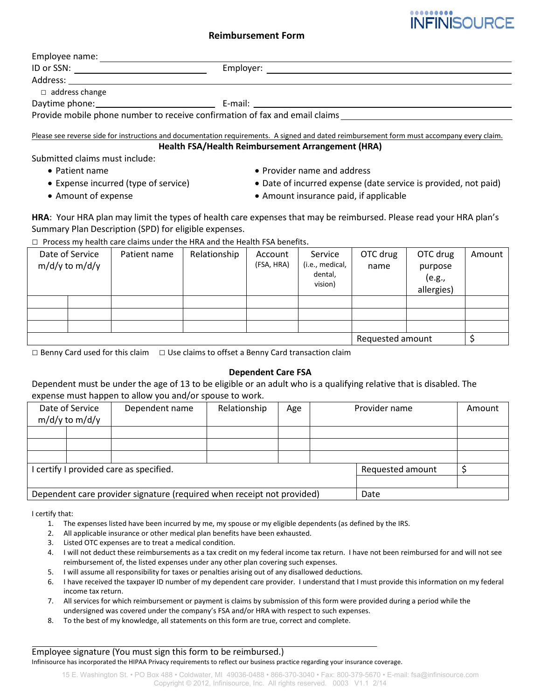# **Reimbursement Form**

| ID or SSN: ________________________ | Employer: |  |
|-------------------------------------|-----------|--|
|                                     |           |  |
| $\Box$ address change               |           |  |
|                                     |           |  |

Please see reverse side for instructions and documentation requirements. A signed and dated reimbursement form must accompany every claim. **Health FSA/Health Reimbursement Arrangement (HRA)**

Submitted claims must include:

- 
- 
- 
- Patient name Provider name and address
- Expense incurred (type of service) Date of incurred expense (date service is provided, not paid)

**INFINISOURCE** 

• Amount of expense **• Amount insurance paid, if applicable** 

**HRA**: Your HRA plan may limit the types of health care expenses that may be reimbursed. Please read your HRA plan's Summary Plan Description (SPD) for eligible expenses.

 $\Box$  Process my health care claims under the HRA and the Health FSA benefits.

|  | Date of Service<br>$m/d/y$ to $m/d/y$ | Patient name | Relationship | Account<br>(FSA, HRA) | Service<br>(i.e., medical,<br>dental,<br>vision) | OTC drug<br>name | OTC drug<br>purpose<br>(e.g.,<br>allergies) | Amount |
|--|---------------------------------------|--------------|--------------|-----------------------|--------------------------------------------------|------------------|---------------------------------------------|--------|
|  |                                       |              |              |                       |                                                  |                  |                                             |        |
|  |                                       |              |              |                       |                                                  |                  |                                             |        |
|  |                                       |              |              |                       |                                                  |                  |                                             |        |
|  |                                       |              |              |                       | Requested amount                                 |                  |                                             |        |

 $\Box$  Benny Card used for this claim  $\Box$  Use claims to offset a Benny Card transaction claim

# **Dependent Care FSA**

Dependent must be under the age of 13 to be eligible or an adult who is a qualifying relative that is disabled. The expense must happen to allow you and/or spouse to work.

| Date of Service<br>$m/d/y$ to $m/d/y$                                  |  | Dependent name | Relationship | Age |                  | Provider name | Amount |
|------------------------------------------------------------------------|--|----------------|--------------|-----|------------------|---------------|--------|
|                                                                        |  |                |              |     |                  |               |        |
|                                                                        |  |                |              |     |                  |               |        |
|                                                                        |  |                |              |     |                  |               |        |
| I certify I provided care as specified.                                |  |                |              |     | Requested amount |               |        |
|                                                                        |  |                |              |     |                  |               |        |
| Dependent care provider signature (required when receipt not provided) |  |                |              |     | Date             |               |        |

I certify that:

- 1. The expenses listed have been incurred by me, my spouse or my eligible dependents (as defined by the IRS.
- 2. All applicable insurance or other medical plan benefits have been exhausted.
- 3. Listed OTC expenses are to treat a medical condition.
- 4. I will not deduct these reimbursements as a tax credit on my federal income tax return. I have not been reimbursed for and will not see reimbursement of, the listed expenses under any other plan covering such expenses.
- 5. I will assume all responsibility for taxes or penalties arising out of any disallowed deductions.
- 6. I have received the taxpayer ID number of my dependent care provider. I understand that I must provide this information on my federal income tax return.
- 7. All services for which reimbursement or payment is claims by submission of this form were provided during a period while the undersigned was covered under the company's FSA and/or HRA with respect to such expenses.
- 8. To the best of my knowledge, all statements on this form are true, correct and complete.

Employee signature (You must sign this form to be reimbursed.) Infinisource has incorporated the HIPAA Privacy requirements to reflect our business practice regarding your insurance coverage.